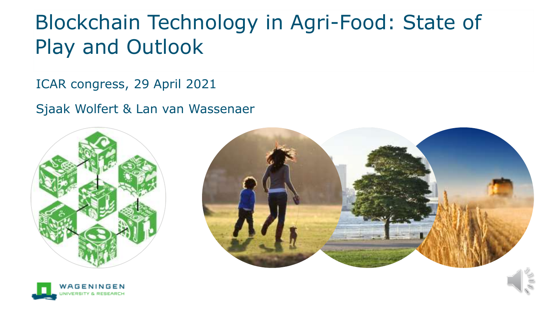### Blockchain Technology in Agri-Food: State of Play and Outlook

ICAR congress, 29 April 2021

Sjaak Wolfert & Lan van Wassenaer





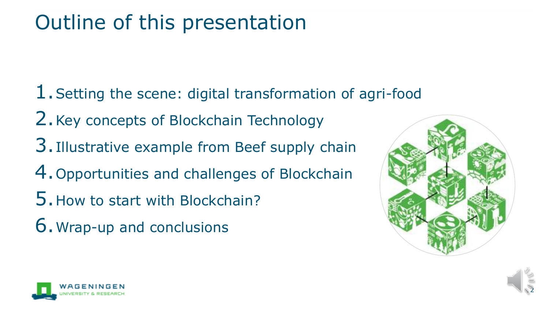### Outline of this presentation

1. Setting the scene: digital transformation of agri-food 2.Key concepts of Blockchain Technology 3.Illustrative example from Beef supply chain 4.Opportunities and challenges of Blockchain 5.How to start with Blockchain? 6.Wrap-up and conclusions





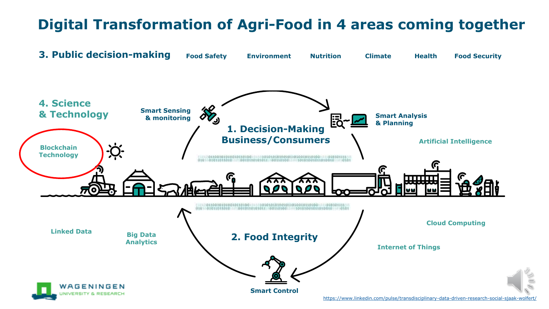### **Digital Transformation of Agri-Food in 4 areas coming together**



<https://www.linkedin.com/pulse/transdisciplinary-data-driven-research-social-sjaak-wolfert/>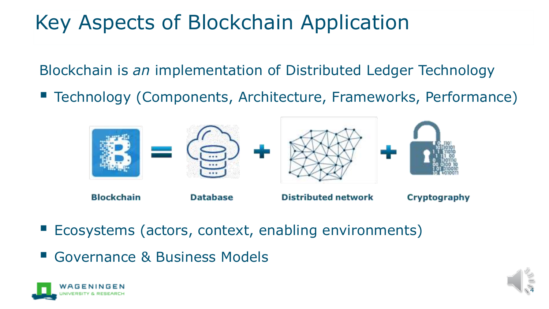# Key Aspects of Blockchain Application

Blockchain is *an* implementation of Distributed Ledger Technology

■ Technology (Components, Architecture, Frameworks, Performance)



- Ecosystems (actors, context, enabling environments)
- Governance & Business Models



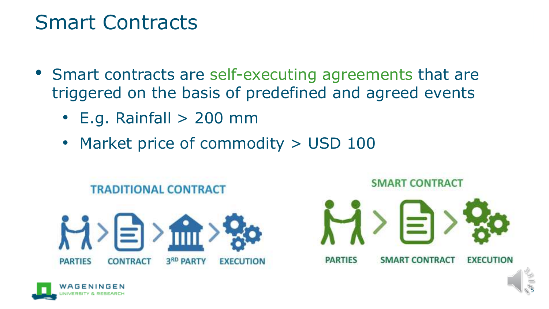### Smart Contracts

- Smart contracts are self-executing agreements that are triggered on the basis of predefined and agreed events
	- $\cdot$  E.g. Rainfall  $> 200$  mm
	- Market price of commodity > USD 100





5

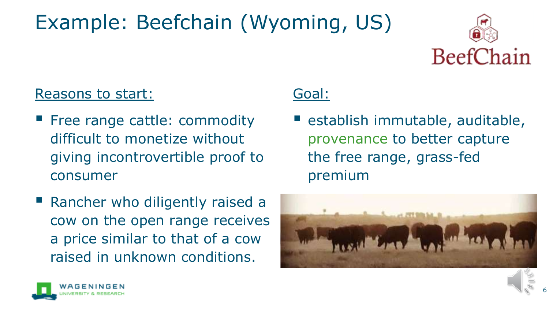# Example: Beefchain (Wyoming, US)



### Reasons to start:

**Filter** Free range cattle: commodity difficult to monetize without giving incontrovertible proof to consumer

### Goal:

- establish immutable, auditable, provenance to better capture the free range, grass-fed premium
- Rancher who diligently raised a cow on the open range receives a price similar to that of a cow raised in unknown conditions.



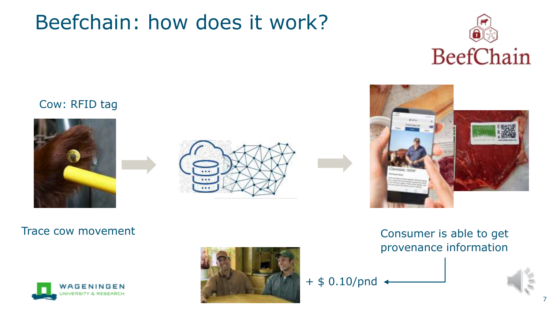### Beefchain: how does it work?



### Cow: RFID tag











Trace cow movement Trace cow movement provenance information



7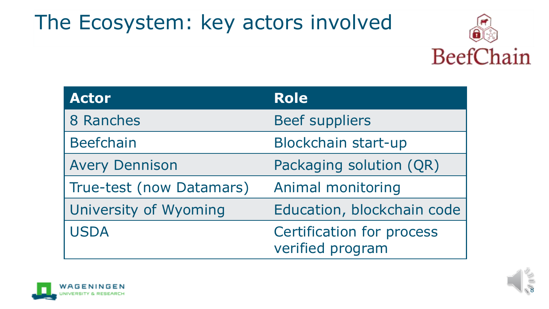## The Ecosystem: key actors involved



| <b>Actor</b>             | <b>Role</b>                                          |
|--------------------------|------------------------------------------------------|
| 8 Ranches                | <b>Beef suppliers</b>                                |
| <b>Beefchain</b>         | Blockchain start-up                                  |
| <b>Avery Dennison</b>    | Packaging solution (QR)                              |
| True-test (now Datamars) | Animal monitoring                                    |
| University of Wyoming    | Education, blockchain code                           |
| <b>USDA</b>              | <b>Certification for process</b><br>verified program |



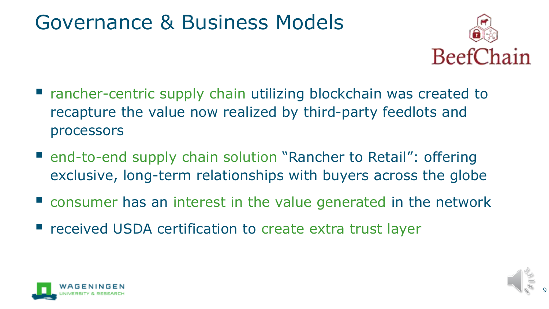### Governance & Business Models



- rancher-centric supply chain utilizing blockchain was created to recapture the value now realized by third-party feedlots and processors
- end-to-end supply chain solution "Rancher to Retail": offering exclusive, long-term relationships with buyers across the globe
- consumer has an interest in the value generated in the network
- received USDA certification to create extra trust layer



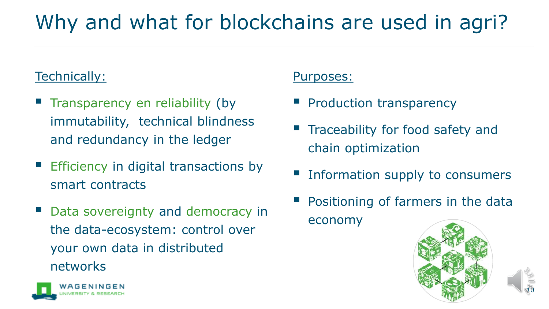# Why and what for blockchains are used in agri?

### Technically:

- **Transparency en reliability (by** immutability, technical blindness and redundancy in the ledger
- Efficiency in digital transactions by smart contracts
- Data sovereignty and democracy in the data-ecosystem: control over your own data in distributed networks



- **Production transparency**
- **Traceability for food safety and** chain optimization
- Information supply to consumers
- Positioning of farmers in the data economy



10

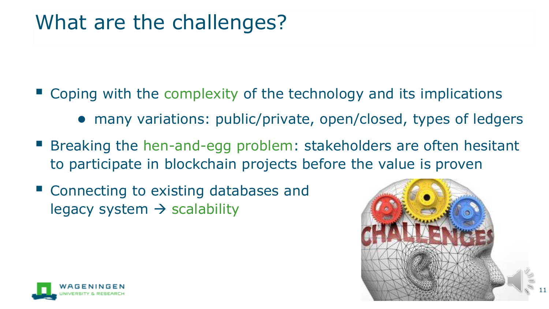### What are the challenges?

- $\blacksquare$  Coping with the complexity of the technology and its implications
	- many variations: public/private, open/closed, types of ledgers
- Breaking the hen-and-egg problem: stakeholders are often hesitant to participate in blockchain projects before the value is proven
- Connecting to existing databases and legacy system  $\rightarrow$  scalability



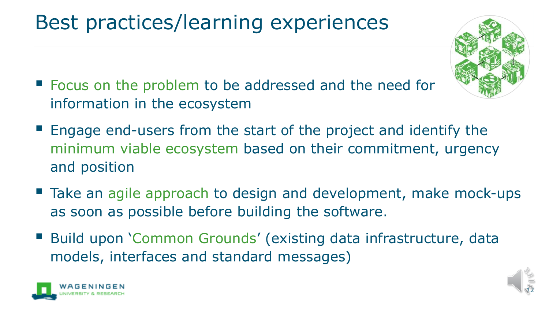# Best practices/learning experiences



- Focus on the problem to be addressed and the need for information in the ecosystem
- Engage end-users from the start of the project and identify the minimum viable ecosystem based on their commitment, urgency and position
- Take an agile approach to design and development, make mock-ups as soon as possible before building the software.
- Build upon 'Common Grounds' (existing data infrastructure, data models, interfaces and standard messages)



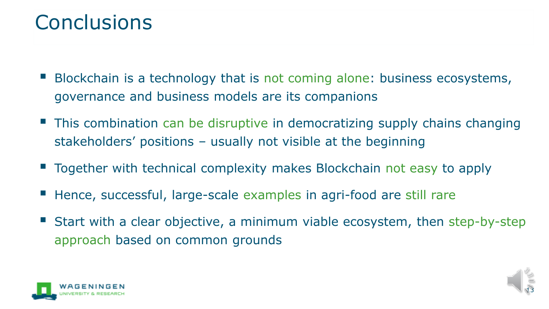### **Conclusions**

- Blockchain is a technology that is not coming alone: business ecosystems, governance and business models are its companions
- This combination can be disruptive in democratizing supply chains changing stakeholders' positions – usually not visible at the beginning
- Together with technical complexity makes Blockchain not easy to apply
- Hence, successful, large-scale examples in agri-food are still rare
- Start with a clear objective, a minimum viable ecosystem, then step-by-step approach based on common grounds